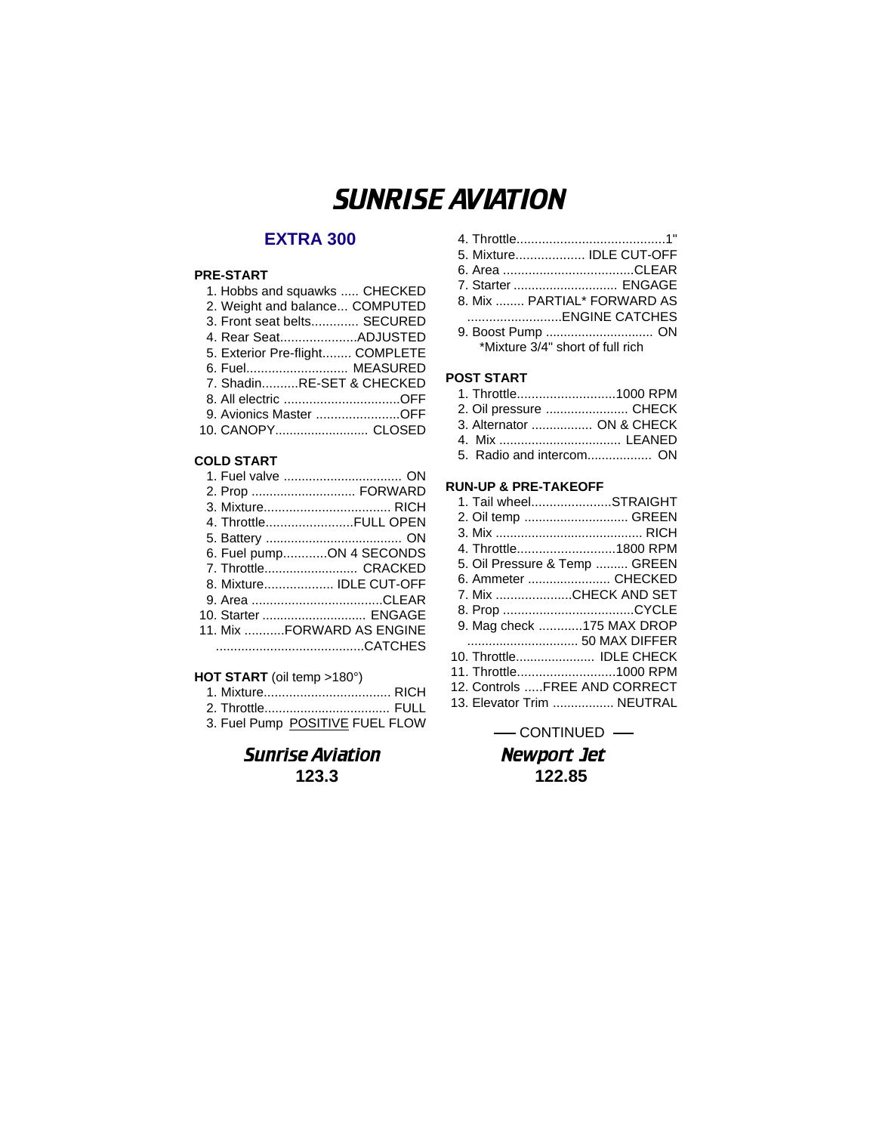# SUNRISE AVIATION

# **EXTRA 300**

### **PRE-START**

| 1. Hobbs and squawks  CHECKED   |  |
|---------------------------------|--|
| 2. Weight and balance COMPUTED  |  |
| 3. Front seat belts SECURED     |  |
| 4. Rear SeatADJUSTED            |  |
| 5. Exterior Pre-flight COMPLETE |  |
| 6. Fuel MEASURED                |  |
| 7. ShadinRE-SET & CHECKED       |  |
| 8. All electric OFF             |  |
| 9. Avionics Master OFF          |  |
| 10. CANOPY CLOSED               |  |
|                                 |  |

#### **COLD START**

| 1. Fuel valve  ON         |
|---------------------------|
| 2. Prop  FORWARD          |
|                           |
| 4. ThrottleFULL OPEN      |
|                           |
| 6. Fuel pumpON 4 SECONDS  |
| 7. Throttle CRACKED       |
| 8. Mixture IDLE CUT-OFF   |
|                           |
| 10. Starter  ENGAGE       |
| 11. Mix FORWARD AS ENGINE |
|                           |
|                           |

### **HOT START** (oil temp >180°)

|--|--|

2. Throttle................................... FULL 3. Fuel Pump POSITIVE FUEL FLOW

| <b>Sunrise Aviation</b> |
|-------------------------|
| 123.3                   |

| 5. Mixture IDLE CUT-OFF          |  |
|----------------------------------|--|
|                                  |  |
| 7. Starter  ENGAGE               |  |
| 8. Mix  PARTIAL* FORWARD AS      |  |
|                                  |  |
| 9. Boost Pump  ON                |  |
| *Mixture 3/4" short of full rich |  |

## **POST START**

| ---------                 |  |
|---------------------------|--|
| 1. Throttle1000 RPM       |  |
| 2. Oil pressure  CHECK    |  |
| 3. Alternator  ON & CHECK |  |
|                           |  |
|                           |  |

#### **RUN-UP & PRE-TAKEOFF**

|                      | 1. Tail wheelSTRAIGHT         |
|----------------------|-------------------------------|
|                      | 2. Oil temp  GREEN            |
|                      |                               |
|                      | 4. Throttle1800 RPM           |
|                      | 5. Oil Pressure & Temp  GREEN |
|                      | 6. Ammeter  CHECKED           |
|                      | 7. Mix CHECK AND SET          |
|                      |                               |
|                      | 9. Mag check 175 MAX DROP     |
|                      | 50 MAX DIFFER                 |
|                      | 10. Throttle IDLE CHECK       |
| 11. Throttle1000 RPM |                               |
|                      | 12. Controls FREE AND CORRECT |
|                      | 13. Elevator Trim  NEUTRAL    |
|                      |                               |

**Newport Jet 123.3 122.85**  $-$  CONTINUED  $-$